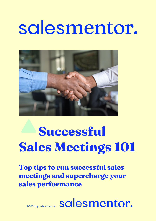# salesmentor.



## **Successful Sales Meetings 101**

**Top tips to run successful sales meetings and supercharge your sales performance**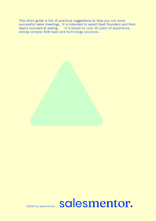This short guide is full of practical suggestions to help you run more successful sales meetings. It is intended to assist SaaS founders and their teams succeed at selling. It is based on over 20 years of experience, selling complex B2B SaaS and technology solutions.

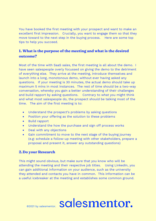You have booked the first meeting with your prospect and want to make an excellent first impression. Crucially, you want to engage them so that they move toward to the next step in the buying process. Here are some top tips to help you succeed.

#### **1. What is the purpose of the meeting and what is the desired outcome?**

Most of the time with SaaS sales, the first meeting is all about the demo. I have seen salespeople overly focussed on giving the demo to the detriment of everything else. They arrive at the meeting, introduce themselves and launch into a long, monotonous demo, without ever having asked any questions. If your meeting is 30 minutes, the actual demo should take up maximum 5 mins in most instances. The rest of time should be a two-way conversation, whereby you gain a better understanding of their challenges and build rapport by asking questions. Contrary to what you might think and what most salespeople do, the prospect should be talking most of the time. The aim of the first meeting is to:

- Understand the prospect's problems by asking questions
- Position your offering as the solution to these problems
- Build rapport
- Understand the how the purchase and sign off process works
- Deal with any objections
- Gain commitment to move to the next stage of the buying journey (e.g: schedule a follow-up meeting with other stakeholders, prepare a proposal and present it, answer any outstanding questions)

#### **2.Do your Research**

This might sound obvious, but make sure that you know who will be attending the meeting and their respective job titles. Using LinkedIn, you can gain additional information on your audience, such as the university they attended and contacts you have in common. This information can be a useful icebreaker at the meeting and establishes some common ground.

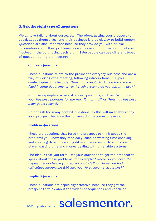#### **3.Ask the right type of questions**

We all love talking about ourselves. Therefore, getting your prospect to speak about themselves, and their business is a quick way to build rapport. Questions are also important because they provide you with crucial information about their problems, as well as useful information on who is involved in the purchasing decision. Salespeople can use different types of question during the meeting:

#### **Context Questions**

These questions relate to the prospect's everyday business and are a way of kicking off a meeting, following introductions. Typical context questions include: *"How many analysts do you have in the fixed income department?"* or *"Which systems do you currently use?"*

Good salespeople also ask strategic questions, such as: *"what are your business priorities for the next 12 months?"* or *"How has business been going recently?"*

Do not ask too many context questions, as this will invariably annoy your prospect because the conversation becomes one-way.

#### **Problem Questions**

These are questions that force the prospect to think about the problems you know they face daily, such as wasting time checking and cleaning data, integrating different sources of data into one place, wasting time and money dealing with unreliable systems.

The idea is that you formulate your questions to get the prospect to speak about these problems, for example: *"Where do you have the biggest headaches in your equity analysis?"* or *"Have you had difficulties integrating ESG into your fixed income strategies?"*

#### **Implied Questions**

These questions are especially effective, because they get the prospect to think about the wider consequences and knock-on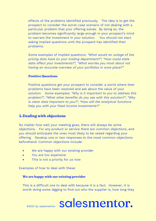effects of the problems identified previously. The idea is to get the prospect to consider the worst-case scenario of not dealing with a particular problem that your offering solves. By doing so, the problem becomes significantly large enough in your prospect's mind to warrant the investment in your solution. You should not start asking implied questions until the prospect has identified their problems.

Some examples of implied questions: *"What would an outage of live pricing data have on your trading department?", "How could stale data affect your investments?", "What worries you most about not having an accurate overview of your portfolios in once place?"*

#### **Positive Questions**

Positive questions get your prospect to consider a world where their problems have been resolved and ask about the value of your solution. Some examples: *"Why is it important to you to address this problem?", "What other benefits do you see with this solution?", "Why is clean data important to you?", "How will the analytical functions help you with your fixed income investments?"*

#### **4.Dealing with objections**

No matter how well your meeting goes, there will always be some objections. For any product or service there are common objections, and you should anticipate the ones most likely to be raised regarding your offering. Develop one or two responses to the most common objections beforehand. Common objections include:

- We are happy with our existing provider
- You are too expensive
- This is not a priority for us now

Examples of how to deal with these:

#### **We are happy with our existing provider**

This is a difficult one to deal with because it is a fact. However, it is worth doing some digging to find out who the supplier is, how long they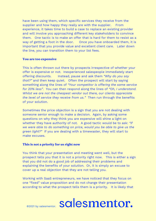have been using them, which specific services they receive from the supplier and how happy they really are with the supplier. From experience, it takes time to build a case to replace an existing provider and will involve you approaching different key stakeholders to convince them. One tactic is to make an offer that is hard for them to resist as a way of getting a foot in the door. Once you have onboarded them, it is important that you provide value and excellent client care. Later down the line, you can transition them to your list fees.

#### **You are too expensive**

This is often thrown out there by prospects irrespective of whether your offer is expensive or not. Inexperienced salespeople immediately start offering discounts. Instead, pause and ask them *"Why do you say that?"* and then keep quiet. Often the prospect will start by saying something along the lines of *"Your competitor is offering the same service for 20% less"*. You can then respond along the lines of *"Oh, I understand. Whilst we are not the cheapest vendor out there, our clients appreciate the level of service they receive from us."* Then run through the benefits of your solution.

Sometimes the price objection is a sign that you are not dealing with someone senior enough to make a decision. Again, by asking some questions on why they think you are expensive will shine a light on whether they have authority of not. A good tactic would be to ask: *"if we were able to do something on price, would you be able to give us the green light?"* If you are dealing with a timewaster, they will start to make excuses.

#### **This is not a priority for us right now**

You think that your presentation and meeting went well, but the prospect tells you that it is not a priority right now. This is either a sign that you did not do a good job of addressing their problems and explaining the benefits of your solution. Or, it is simply an excuse to cover up a real objection that they are not telling you.

Working with SaaS entrepreneurs, we have noticed that they focus on one "fixed" value proposition and do not change their presentation according to what the prospect tells them is a priority. It is likely that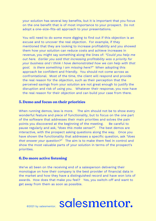your solution has several key benefits, but it is important that you focus on the one benefit that is of most importance to your prospect. Do not adopt a one-size-fits-all approach to your presentations.

You will need to do some more digging to find out if this objection is an excuse and to uncover the real objection. For example, if they mentioned that they are looking to increase profitability and you showed them how your solution can reduce costs and achieve increases in revenue, you might say something along the lines of: *"Could you help me out here. Earlier you said that increasing profitability was a priority for your business and I think I have demonstrated how we can help with that goal. Is there something I am missing here?"* When adopting this approach be confident and friendly. You should not come across as confrontational. Most of the time, the client will respond and provide the real reason for the objection, such as their perception that the perceived savings from your solution are not great enough to justify the disruption and risk of using you. Whatever their response, you now have the real reason for their objection and can build your case from there.

#### **5.Demo and focus on their priorities**

When running demos, less is more. The aim should not be to show every wonderful feature and piece of functionality, but to focus on the one part of the software that addresses their main priorities and solves the pain points you discovered at the beginning of the meeting. Be careful to pause regularly and ask, *"does this make sense?"*. The best demos are interactive, with the prospect asking questions along the way. Once you have shown the functionality that addresses a specific question, ask *"does that answer your question?"* The aim is to make them feel in control and show the most valuable parts of your solution in terms of the prospect's priorities.

#### **6.Do more active listening**

We've all been on the receiving end of a salesperson delivering their monologue on how their company is the best provider of financial data in the market and how they have a distinguished record and have won lots of awards. How does that make you feel? Yes, you switch-off and want to get away from them as soon as possible.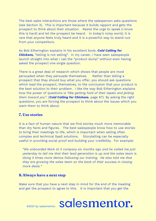The best sales interactions are those where the salesperson asks questions (see Section 3). This is important because it builds rapport and gets the prospect to think about their situation. Resist the urge to speak (I know this is hard) and let the prospect be heard. In today's noisy world, it is rare that anyone feels truly heard and it is a powerful way to stand-out from your competitors.

As Bob Etherington explains in his excellent book, *Cold Calling for Chickens,* "telling is not selling". In my career, I have seen salespeople launch straight into what I call the "product dump" without even having asked the prospect one single question.

There is a great deal of research which shows that people are most persuaded when they persuade themselves. Rather than telling a prospect that they should buy what you offer, you should ask questions which lead the prospect, themselves, to the conclusion that your product is the best solution to their problem. I like the way Bob Etherington explains how the power of questions is *"like getting hold of their lapels and jerking them toward you"*. (*Cold Calling for Chickens*, page 97). By asking the right questions, you are forcing the prospect to think about the issues which you want them to think about.

#### **7. Use stories**

It is a fact of human nature that we find stories much more memorable than dry facts and figures. The best salespeople know how to use stories to bring their meetings to life, which is important when selling often complex and technical SaaS solutions. Storytelling can be especially useful in providing social proof and building your credibility. For example:

*"We onboarded Mark at X company six months ago and he called me just yesterday to tell me that their lead generation is up and the sales team is doing 5 times more demos following our training. He also told me that they are growing the sales team on the back of their success in closing more deals."*

#### **8.Always have a next step**

Make sure that you have a next step in mind for the end of the meeting and get the prospect to agree to this. It is important that you get the